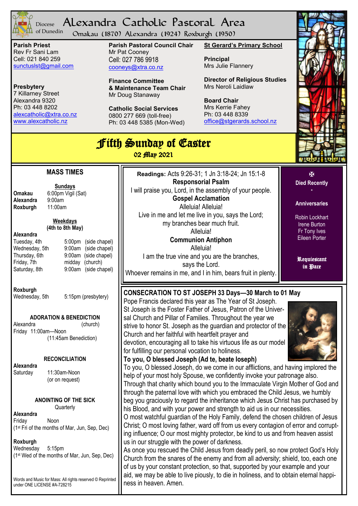

## Alexandra Catholic Pastoral Area Diocese of Dunedin

Omakau (1870) Alexandra (1924) Roxburgh (1950)

**Parish Priest** Rev Fr Sani Lam Cell: 021 840 259 [sunctuslst@gmail.com](mailto:mailto:sunctuslst@gmail.com)

**Presbytery** 7 Killarney Street Alexandra 9320 Ph: 03 448 8202 [alexcatholic@xtra.co.nz](mailto:mailto:alexcatholic@xtra.co.nz) www.alexcatholic.nz

**Parish Pastoral Council Chair** Mr Pat Cooney Cell: 027 786 9918 cooneys@xtra.co.nz

**Finance Committee & Maintenance Team Chair** Mr Doug Stanaway

**Catholic Social Services**  0800 277 669 (toll-free) Ph: 03 448 5385 (Mon-Wed) **St Gerard's Primary School**

**Principal** Mrs Julie Flannery

**Director of Religious Studies** Mrs Neroli Laidlaw

**Board Chair** Mrs Kerrie Fahey Ph: 03 448 8339 [office@stgerards.school.nz](mailto:mailto:office@stgerards.school.nz)



| <b>J'itth Sunday of Caster</b><br>02 <i>fflap</i> 2021                                                                                        |                                                                                                                                                                                                                                                                                                                                                                                                                                                                                                                                                                                                                                                                                                                                                                                                                     |                                               |  |  |  |
|-----------------------------------------------------------------------------------------------------------------------------------------------|---------------------------------------------------------------------------------------------------------------------------------------------------------------------------------------------------------------------------------------------------------------------------------------------------------------------------------------------------------------------------------------------------------------------------------------------------------------------------------------------------------------------------------------------------------------------------------------------------------------------------------------------------------------------------------------------------------------------------------------------------------------------------------------------------------------------|-----------------------------------------------|--|--|--|
| <b>MASS TIMES</b><br><b>Sundays</b><br>6:00pm Vigil (Sat)<br><b>Omakau</b><br>Alexandra                                                       | Readings: Acts 9:26-31; 1 Jn 3:18-24; Jn 15:1-8<br><b>Responsorial Psalm</b><br>I will praise you, Lord, in the assembly of your people.<br><b>Gospel Acclamation</b>                                                                                                                                                                                                                                                                                                                                                                                                                                                                                                                                                                                                                                               | 区<br><b>Died Recently</b>                     |  |  |  |
| 9:00am<br>11:00am<br>Roxburgh<br><b>Weekdays</b>                                                                                              | Alleluia! Alleluia!<br>Live in me and let me live in you, says the Lord;<br>my branches bear much fruit.                                                                                                                                                                                                                                                                                                                                                                                                                                                                                                                                                                                                                                                                                                            | <b>Anniversaries</b><br>Robin Lockhart        |  |  |  |
| (4th to 8th May)<br>Alexandra<br>5:00 <sub>pm</sub><br>(side chapel)<br>Tuesday, 4th<br>Wednesday, 5th<br>9:00am<br>(side chapel)             | Alleluia!<br><b>Communion Antiphon</b><br>Alleluia!                                                                                                                                                                                                                                                                                                                                                                                                                                                                                                                                                                                                                                                                                                                                                                 | Irene Burton<br>Fr Tony Ives<br>Eileen Porter |  |  |  |
| Thursday, 6th<br>9:00am<br>(side chapel)<br>Friday, 7th<br>midday<br>(church)<br>9:00am<br>(side chapel)<br>Saturday, 8th                     | I am the true vine and you are the branches,<br>says the Lord.<br>Whoever remains in me, and I in him, bears fruit in plenty.                                                                                                                                                                                                                                                                                                                                                                                                                                                                                                                                                                                                                                                                                       | Requiestant<br>in Pace                        |  |  |  |
| Roxburgh<br>5:15pm (presbytery)<br>Wednesday, 5th                                                                                             | CONSECRATION TO ST JOSEPH 33 Days-30 March to 01 May<br>Pope Francis declared this year as The Year of St Joseph.<br>St Joseph is the Foster Father of Jesus, Patron of the Univer-                                                                                                                                                                                                                                                                                                                                                                                                                                                                                                                                                                                                                                 |                                               |  |  |  |
| <b>ADORATION &amp; BENEDICTION</b><br>Alexandra<br>(church)<br>Friday 11:00am-Noon<br>(11:45am Benediction)                                   | sal Church and Pillar of Families. Throughout the year we<br>strive to honor St. Joseph as the guardian and protector of the<br>Church and her faithful with heartfelt prayer and<br>devotion, encouraging all to take his virtuous life as our model<br>for fulfilling our personal vocation to holiness.                                                                                                                                                                                                                                                                                                                                                                                                                                                                                                          |                                               |  |  |  |
| <b>RECONCILIATION</b><br>Alexandra<br>11:30am-Noon<br>Saturday<br>(or on request)                                                             | To you, O blessed Joseph (Ad te, beate loseph)<br>To you, O blessed Joseph, do we come in our afflictions, and having implored the<br>help of your most holy Spouse, we confidently invoke your patronage also.<br>Through that charity which bound you to the Immaculate Virgin Mother of God and<br>through the paternal love with which you embraced the Child Jesus, we humbly<br>beg you graciously to regard the inheritance which Jesus Christ has purchased by<br>his Blood, and with your power and strength to aid us in our necessities.<br>O most watchful guardian of the Holy Family, defend the chosen children of Jesus<br>Christ; O most loving father, ward off from us every contagion of error and corrupt-<br>ing influence; O our most mighty protector, be kind to us and from heaven assist |                                               |  |  |  |
| <b>ANOINTING OF THE SICK</b><br>Quarterly<br>Alexandra<br>Noon<br>Friday<br>(1st Fri of the months of Mar, Jun, Sep, Dec)                     |                                                                                                                                                                                                                                                                                                                                                                                                                                                                                                                                                                                                                                                                                                                                                                                                                     |                                               |  |  |  |
| Roxburgh<br>Wednesday<br>5:15pm<br>(1st Wed of the months of Mar, Jun, Sep, Dec)<br>Words and Music for Mass: All rights reserved © Reprinted | us in our struggle with the power of darkness.<br>As once you rescued the Child Jesus from deadly peril, so now protect God's Holy<br>Church from the snares of the enemy and from all adversity; shield, too, each one<br>of us by your constant protection, so that, supported by your example and your<br>aid, we may be able to live piously, to die in holiness, and to obtain eternal happi-                                                                                                                                                                                                                                                                                                                                                                                                                  |                                               |  |  |  |
| under ONE LICENSE #A-728215                                                                                                                   | ness in heaven. Amen.                                                                                                                                                                                                                                                                                                                                                                                                                                                                                                                                                                                                                                                                                                                                                                                               |                                               |  |  |  |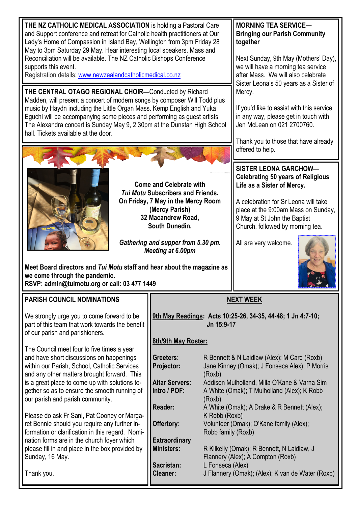**SISTER LEONA GARCHOW— Celebrating 50 years of Religious Life as a Sister of Mercy. MORNING TEA SERVICE— Bringing our Parish Community together** Next Sunday, 9th May (Mothers' Day), we will have a morning tea service after Mass. We will also celebrate Sister Leona's 50 years as a Sister of Mercy. If you'd like to assist with this service in any way, please get in touch with Jen McLean on 021 2700760. Thank you to those that have already offered to help. **THE CENTRAL OTAGO REGIONAL CHOIR—**Conducted by Richard Madden, will present a concert of modern songs by composer Will Todd plus music by Haydn including the Little Organ Mass. Kemp English and Yuka Eguchi will be accompanying some pieces and performing as guest artists. The Alexandra concert is Sunday May 9, 2:30pm at the Dunstan High School hall. Tickets available at the door. **Come and Celebrate with THE NZ CATHOLIC MEDICAL ASSOCIATION** is holding a Pastoral Care and Support conference and retreat for Catholic health practitioners at Our Lady's Home of Compassion in Island Bay, Wellington from 3pm Friday 28 May to 3pm Saturday 29 May. Hear interesting local speakers. Mass and Reconciliation will be available. The NZ Catholic Bishops Conference supports this event. Registration details: [www.newzealandcatholicmedical.co.nz](http://www.newzealandcatholicmedical.co.nz/)

> *Tui Motu* **Subscribers and Friends. On Friday, 7 May in the Mercy Room (Mercy Parish) 32 Macandrew Road, South Dunedin.**

> *Gathering and supper from 5.30 pm. Meeting at 6.00pm*

**Meet Board directors and** *Tui Motu* **staff and hear about the magazine as** 

**we come through the pandemic.**

A celebration for Sr Leona will take place at the 9:00am Mass on Sunday, 9 May at St John the Baptist Church, followed by morning tea.

All are very welcome.



| RSVP: admin@tuimotu.org or call: 03 477 1449 |                                                                                                                                                                                                                                                                                                                                                                                                                                                                                                                               |                                                                                                                          |                                                                                                                                                                                                                                                                                                                                                  |
|----------------------------------------------|-------------------------------------------------------------------------------------------------------------------------------------------------------------------------------------------------------------------------------------------------------------------------------------------------------------------------------------------------------------------------------------------------------------------------------------------------------------------------------------------------------------------------------|--------------------------------------------------------------------------------------------------------------------------|--------------------------------------------------------------------------------------------------------------------------------------------------------------------------------------------------------------------------------------------------------------------------------------------------------------------------------------------------|
|                                              | <b>PARISH COUNCIL NOMINATIONS</b>                                                                                                                                                                                                                                                                                                                                                                                                                                                                                             | <b>NEXT WEEK</b>                                                                                                         |                                                                                                                                                                                                                                                                                                                                                  |
|                                              | We strongly urge you to come forward to be<br>part of this team that work towards the benefit<br>of our parish and parishioners.                                                                                                                                                                                                                                                                                                                                                                                              | 9th May Readings: Acts 10:25-26, 34-35, 44-48; 1 Jn 4:7-10;<br>Jn 15:9-17                                                |                                                                                                                                                                                                                                                                                                                                                  |
|                                              |                                                                                                                                                                                                                                                                                                                                                                                                                                                                                                                               | 8th/9th May Roster:                                                                                                      |                                                                                                                                                                                                                                                                                                                                                  |
|                                              | The Council meet four to five times a year<br>and have short discussions on happenings<br>within our Parish, School, Catholic Services<br>and any other matters brought forward. This<br>is a great place to come up with solutions to-<br>gether so as to ensure the smooth running of<br>our parish and parish community.<br>Please do ask Fr Sani, Pat Cooney or Marga-<br>ret Bennie should you require any further in-<br>formation or clarification in this regard. Nomi-<br>nation forms are in the church foyer which | Greeters:<br><b>Projector:</b><br><b>Altar Servers:</b><br>Intro / POF:<br>Reader:<br>Offertory:<br><b>Extraordinary</b> | R Bennett & N Laidlaw (Alex); M Card (Roxb)<br>Jane Kinney (Omak); J Fonseca Alex); P Morris<br>(Roxb)<br>Addison Mulholland, Milla O'Kane & Varna Sim<br>A White (Omak); T Mulholland (Alex); K Robb<br>(Roxb)<br>A White (Omak); A Drake & R Bennett (Alex);<br>K Robb (Roxb)<br>Volunteer (Omak); O'Kane family (Alex);<br>Robb family (Roxb) |
|                                              | please fill in and place in the box provided by<br>Sunday, 16 May.                                                                                                                                                                                                                                                                                                                                                                                                                                                            | <b>Ministers:</b>                                                                                                        | R Kilkelly (Omak); R Bennett, N Laidlaw, J<br>Flannery (Alex); A Compton (Roxb)                                                                                                                                                                                                                                                                  |
|                                              |                                                                                                                                                                                                                                                                                                                                                                                                                                                                                                                               | Sacristan:                                                                                                               | L Fonseca (Alex)                                                                                                                                                                                                                                                                                                                                 |
|                                              | Thank you.                                                                                                                                                                                                                                                                                                                                                                                                                                                                                                                    | Cleaner:                                                                                                                 | J Flannery (Omak); (Alex); K van de Water (Roxb)                                                                                                                                                                                                                                                                                                 |